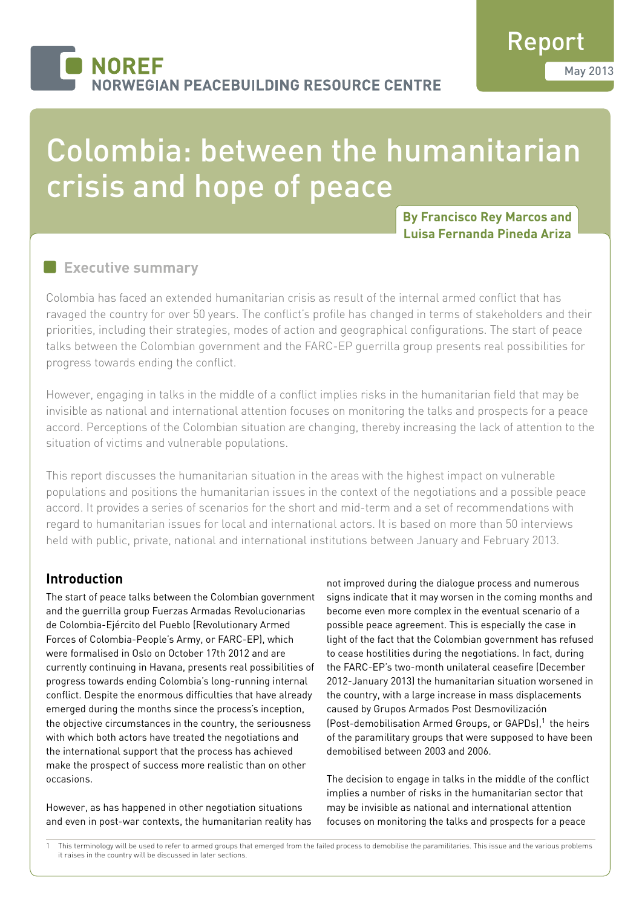# Colombia: between the humanitarian crisis and hope of peace

**By Francisco Rey Marcos and Luisa Fernanda Pineda Ariza**

# **Executive summary**

Colombia has faced an extended humanitarian crisis as result of the internal armed conflict that has ravaged the country for over 50 years. The conflict's profile has changed in terms of stakeholders and their priorities, including their strategies, modes of action and geographical configurations. The start of peace talks between the Colombian government and the FARC-EP guerrilla group presents real possibilities for progress towards ending the conflict.

However, engaging in talks in the middle of a conflict implies risks in the humanitarian field that may be invisible as national and international attention focuses on monitoring the talks and prospects for a peace accord. Perceptions of the Colombian situation are changing, thereby increasing the lack of attention to the situation of victims and vulnerable populations.

This report discusses the humanitarian situation in the areas with the highest impact on vulnerable populations and positions the humanitarian issues in the context of the negotiations and a possible peace accord. It provides a series of scenarios for the short and mid-term and a set of recommendations with regard to humanitarian issues for local and international actors. It is based on more than 50 interviews held with public, private, national and international institutions between January and February 2013.

# **Introduction**

The start of peace talks between the Colombian government and the guerrilla group Fuerzas Armadas Revolucionarias de Colombia-Ejército del Pueblo (Revolutionary Armed Forces of Colombia-People's Army, or FARC-EP), which were formalised in Oslo on October 17th 2012 and are currently continuing in Havana, presents real possibilities of progress towards ending Colombia's long-running internal conflict. Despite the enormous difficulties that have already emerged during the months since the process's inception, the objective circumstances in the country, the seriousness with which both actors have treated the negotiations and the international support that the process has achieved make the prospect of success more realistic than on other occasions.

However, as has happened in other negotiation situations and even in post-war contexts, the humanitarian reality has not improved during the dialogue process and numerous signs indicate that it may worsen in the coming months and become even more complex in the eventual scenario of a possible peace agreement. This is especially the case in light of the fact that the Colombian government has refused to cease hostilities during the negotiations. In fact, during the FARC-EP's two-month unilateral ceasefire (December 2012-January 2013) the humanitarian situation worsened in the country, with a large increase in mass displacements caused by Grupos Armados Post Desmovilización (Post-demobilisation Armed Groups, or GAPDs),<sup>1</sup> the heirs of the paramilitary groups that were supposed to have been demobilised between 2003 and 2006.

The decision to engage in talks in the middle of the conflict implies a number of risks in the humanitarian sector that may be invisible as national and international attention focuses on monitoring the talks and prospects for a peace

This terminology will be used to refer to armed groups that emerged from the failed process to demobilise the paramilitaries. This issue and the various problems it raises in the country will be discussed in later sections.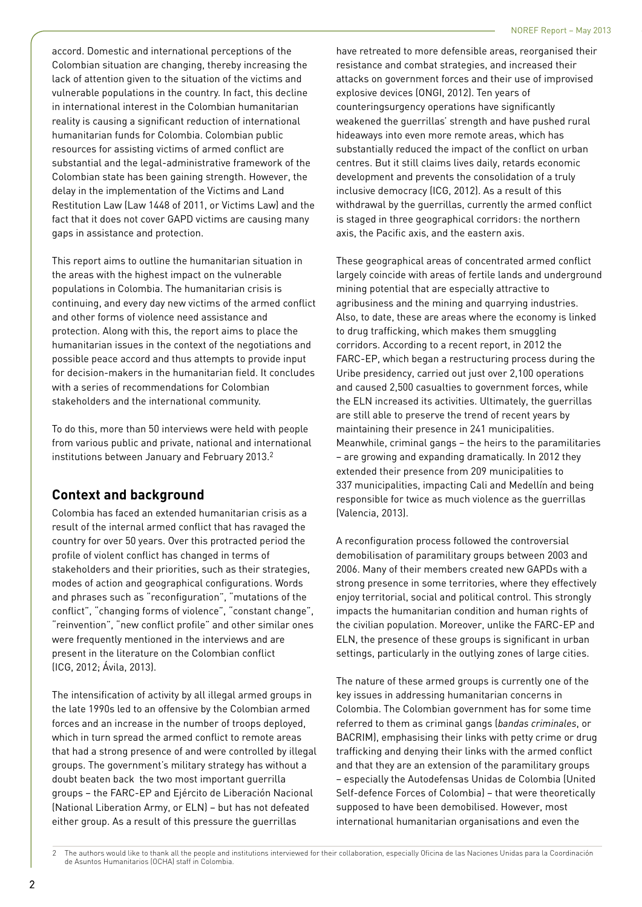accord. Domestic and international perceptions of the Colombian situation are changing, thereby increasing the lack of attention given to the situation of the victims and vulnerable populations in the country. In fact, this decline in international interest in the Colombian humanitarian reality is causing a significant reduction of international humanitarian funds for Colombia. Colombian public resources for assisting victims of armed conflict are substantial and the legal-administrative framework of the Colombian state has been gaining strength. However, the delay in the implementation of the Victims and Land Restitution Law (Law 1448 of 2011, or Victims Law) and the fact that it does not cover GAPD victims are causing many gaps in assistance and protection.

This report aims to outline the humanitarian situation in the areas with the highest impact on the vulnerable populations in Colombia. The humanitarian crisis is continuing, and every day new victims of the armed conflict and other forms of violence need assistance and protection. Along with this, the report aims to place the humanitarian issues in the context of the negotiations and possible peace accord and thus attempts to provide input for decision-makers in the humanitarian field. It concludes with a series of recommendations for Colombian stakeholders and the international community.

To do this, more than 50 interviews were held with people from various public and private, national and international institutions between January and February 2013.<sup>2</sup>

# **Context and background**

Colombia has faced an extended humanitarian crisis as a result of the internal armed conflict that has ravaged the country for over 50 years. Over this protracted period the profile of violent conflict has changed in terms of stakeholders and their priorities, such as their strategies, modes of action and geographical configurations. Words and phrases such as "reconfiguration", "mutations of the conflict", "changing forms of violence", "constant change", "reinvention", "new conflict profile" and other similar ones were frequently mentioned in the interviews and are present in the literature on the Colombian conflict (ICG, 2012; Ávila, 2013).

The intensification of activity by all illegal armed groups in the late 1990s led to an offensive by the Colombian armed forces and an increase in the number of troops deployed, which in turn spread the armed conflict to remote areas that had a strong presence of and were controlled by illegal groups. The government's military strategy has without a doubt beaten back the two most important guerrilla groups – the FARC-EP and Ejército de Liberación Nacional (National Liberation Army, or ELN) – but has not defeated either group. As a result of this pressure the guerrillas

have retreated to more defensible areas, reorganised their resistance and combat strategies, and increased their attacks on government forces and their use of improvised explosive devices (ONGI, 2012). Ten years of counteringsurgency operations have significantly weakened the guerrillas' strength and have pushed rural hideaways into even more remote areas, which has substantially reduced the impact of the conflict on urban centres. But it still claims lives daily, retards economic development and prevents the consolidation of a truly inclusive democracy (ICG, 2012). As a result of this withdrawal by the guerrillas, currently the armed conflict is staged in three geographical corridors: the northern axis, the Pacific axis, and the eastern axis.

These geographical areas of concentrated armed conflict largely coincide with areas of fertile lands and underground mining potential that are especially attractive to agribusiness and the mining and quarrying industries. Also, to date, these are areas where the economy is linked to drug trafficking, which makes them smuggling corridors. According to a recent report, in 2012 the FARC-EP, which began a restructuring process during the Uribe presidency, carried out just over 2,100 operations and caused 2,500 casualties to government forces, while the ELN increased its activities. Ultimately, the guerrillas are still able to preserve the trend of recent years by maintaining their presence in 241 municipalities. Meanwhile, criminal gangs – the heirs to the paramilitaries – are growing and expanding dramatically. In 2012 they extended their presence from 209 municipalities to 337 municipalities, impacting Cali and Medellín and being responsible for twice as much violence as the guerrillas (Valencia, 2013).

A reconfiguration process followed the controversial demobilisation of paramilitary groups between 2003 and 2006. Many of their members created new GAPDs with a strong presence in some territories, where they effectively enjoy territorial, social and political control. This strongly impacts the humanitarian condition and human rights of the civilian population. Moreover, unlike the FARC-EP and ELN, the presence of these groups is significant in urban settings, particularly in the outlying zones of large cities.

The nature of these armed groups is currently one of the key issues in addressing humanitarian concerns in Colombia. The Colombian government has for some time referred to them as criminal gangs (*bandas criminales*, or BACRIM), emphasising their links with petty crime or drug trafficking and denying their links with the armed conflict and that they are an extension of the paramilitary groups – especially the Autodefensas Unidas de Colombia (United Self-defence Forces of Colombia) – that were theoretically supposed to have been demobilised. However, most international humanitarian organisations and even the

<sup>2</sup> The authors would like to thank all the people and institutions interviewed for their collaboration, especially Oficina de las Naciones Unidas para la Coordinación de Asuntos Humanitarios (OCHA) staff in Colombia.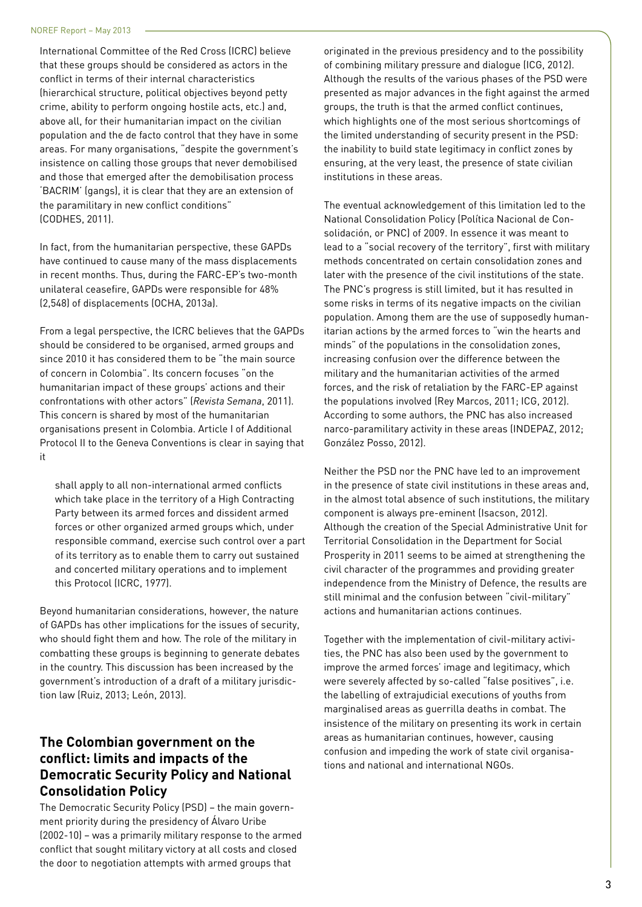International Committee of the Red Cross (ICRC) believe that these groups should be considered as actors in the conflict in terms of their internal characteristics (hierarchical structure, political objectives beyond petty crime, ability to perform ongoing hostile acts, etc.) and, above all, for their humanitarian impact on the civilian population and the de facto control that they have in some areas. For many organisations, "despite the government's insistence on calling those groups that never demobilised and those that emerged after the demobilisation process 'BACRIM' (gangs), it is clear that they are an extension of the paramilitary in new conflict conditions" (CODHES, 2011).

In fact, from the humanitarian perspective, these GAPDs have continued to cause many of the mass displacements in recent months. Thus, during the FARC-EP's two-month unilateral ceasefire, GAPDs were responsible for 48% (2,548) of displacements (OCHA, 2013a).

From a legal perspective, the ICRC believes that the GAPDs should be considered to be organised, armed groups and since 2010 it has considered them to be "the main source of concern in Colombia". Its concern focuses "on the humanitarian impact of these groups' actions and their confrontations with other actors" (*Revista Semana*, 2011). This concern is shared by most of the humanitarian organisations present in Colombia. Article I of Additional Protocol II to the Geneva Conventions is clear in saying that it

shall apply to all non-international armed conflicts which take place in the territory of a High Contracting Party between its armed forces and dissident armed forces or other organized armed groups which, under responsible command, exercise such control over a part of its territory as to enable them to carry out sustained and concerted military operations and to implement this Protocol (ICRC, 1977).

Beyond humanitarian considerations, however, the nature of GAPDs has other implications for the issues of security, who should fight them and how. The role of the military in combatting these groups is beginning to generate debates in the country. This discussion has been increased by the government's introduction of a draft of a military jurisdiction law (Ruiz, 2013; León, 2013).

# **The Colombian government on the conflict: limits and impacts of the Democratic Security Policy and National Consolidation Policy**

The Democratic Security Policy (PSD) – the main government priority during the presidency of Álvaro Uribe (2002-10) – was a primarily military response to the armed conflict that sought military victory at all costs and closed the door to negotiation attempts with armed groups that

originated in the previous presidency and to the possibility of combining military pressure and dialogue (ICG, 2012). Although the results of the various phases of the PSD were presented as major advances in the fight against the armed groups, the truth is that the armed conflict continues, which highlights one of the most serious shortcomings of the limited understanding of security present in the PSD: the inability to build state legitimacy in conflict zones by ensuring, at the very least, the presence of state civilian institutions in these areas.

The eventual acknowledgement of this limitation led to the National Consolidation Policy (Política Nacional de Consolidación, or PNC) of 2009. In essence it was meant to lead to a "social recovery of the territory", first with military methods concentrated on certain consolidation zones and later with the presence of the civil institutions of the state. The PNC's progress is still limited, but it has resulted in some risks in terms of its negative impacts on the civilian population. Among them are the use of supposedly humanitarian actions by the armed forces to "win the hearts and minds" of the populations in the consolidation zones, increasing confusion over the difference between the military and the humanitarian activities of the armed forces, and the risk of retaliation by the FARC-EP against the populations involved (Rey Marcos, 2011; ICG, 2012). According to some authors, the PNC has also increased narco-paramilitary activity in these areas (INDEPAZ, 2012; González Posso, 2012).

Neither the PSD nor the PNC have led to an improvement in the presence of state civil institutions in these areas and, in the almost total absence of such institutions, the military component is always pre-eminent (Isacson, 2012). Although the creation of the Special Administrative Unit for Territorial Consolidation in the Department for Social Prosperity in 2011 seems to be aimed at strengthening the civil character of the programmes and providing greater independence from the Ministry of Defence, the results are still minimal and the confusion between "civil-military" actions and humanitarian actions continues.

Together with the implementation of civil-military activities, the PNC has also been used by the government to improve the armed forces' image and legitimacy, which were severely affected by so-called "false positives", i.e. the labelling of extrajudicial executions of youths from marginalised areas as guerrilla deaths in combat. The insistence of the military on presenting its work in certain areas as humanitarian continues, however, causing confusion and impeding the work of state civil organisations and national and international NGOs.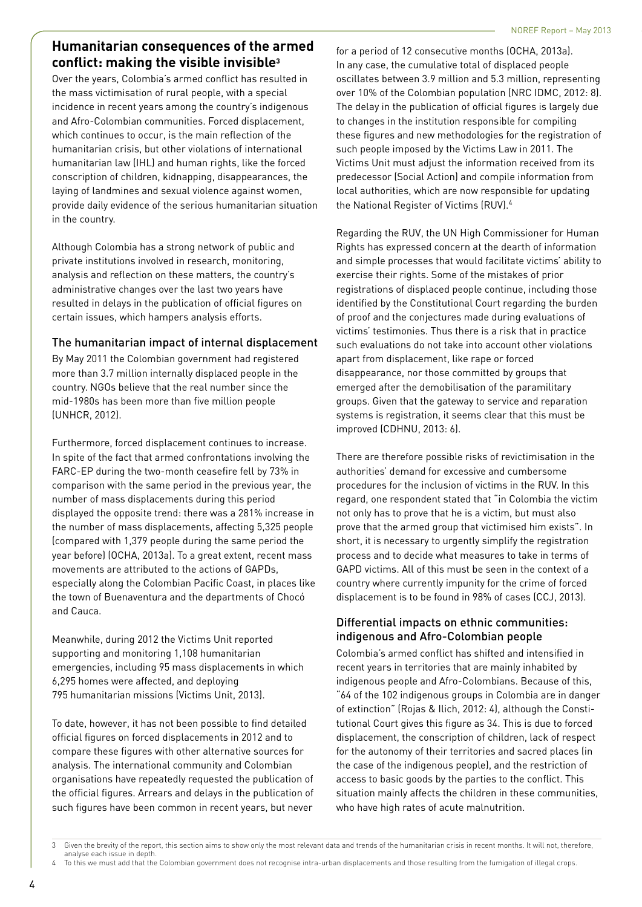# **Humanitarian consequences of the armed conflict: making the visible invisible3**

Over the years, Colombia's armed conflict has resulted in the mass victimisation of rural people, with a special incidence in recent years among the country's indigenous and Afro-Colombian communities. Forced displacement, which continues to occur, is the main reflection of the humanitarian crisis, but other violations of international humanitarian law (IHL) and human rights, like the forced conscription of children, kidnapping, disappearances, the laying of landmines and sexual violence against women, provide daily evidence of the serious humanitarian situation in the country.

Although Colombia has a strong network of public and private institutions involved in research, monitoring, analysis and reflection on these matters, the country's administrative changes over the last two years have resulted in delays in the publication of official figures on certain issues, which hampers analysis efforts.

## The humanitarian impact of internal displacement

By May 2011 the Colombian government had registered more than 3.7 million internally displaced people in the country. NGOs believe that the real number since the mid-1980s has been more than five million people (UNHCR, 2012).

Furthermore, forced displacement continues to increase. In spite of the fact that armed confrontations involving the FARC-EP during the two-month ceasefire fell by 73% in comparison with the same period in the previous year, the number of mass displacements during this period displayed the opposite trend: there was a 281% increase in the number of mass displacements, affecting 5,325 people (compared with 1,379 people during the same period the year before) (OCHA, 2013a). To a great extent, recent mass movements are attributed to the actions of GAPDs, especially along the Colombian Pacific Coast, in places like the town of Buenaventura and the departments of Chocó and Cauca.

Meanwhile, during 2012 the Victims Unit reported supporting and monitoring 1,108 humanitarian emergencies, including 95 mass displacements in which 6,295 homes were affected, and deploying 795 humanitarian missions (Victims Unit, 2013).

To date, however, it has not been possible to find detailed official figures on forced displacements in 2012 and to compare these figures with other alternative sources for analysis. The international community and Colombian organisations have repeatedly requested the publication of the official figures. Arrears and delays in the publication of such figures have been common in recent years, but never

for a period of 12 consecutive months (OCHA, 2013a). In any case, the cumulative total of displaced people oscillates between 3.9 million and 5.3 million, representing over 10% of the Colombian population (NRC IDMC, 2012: 8). The delay in the publication of official figures is largely due to changes in the institution responsible for compiling these figures and new methodologies for the registration of such people imposed by the Victims Law in 2011. The Victims Unit must adjust the information received from its predecessor (Social Action) and compile information from local authorities, which are now responsible for updating the National Register of Victims (RUV).4

Regarding the RUV, the UN High Commissioner for Human Rights has expressed concern at the dearth of information and simple processes that would facilitate victims' ability to exercise their rights. Some of the mistakes of prior registrations of displaced people continue, including those identified by the Constitutional Court regarding the burden of proof and the conjectures made during evaluations of victims' testimonies. Thus there is a risk that in practice such evaluations do not take into account other violations apart from displacement, like rape or forced disappearance, nor those committed by groups that emerged after the demobilisation of the paramilitary groups. Given that the gateway to service and reparation systems is registration, it seems clear that this must be improved (CDHNU, 2013: 6).

There are therefore possible risks of revictimisation in the authorities' demand for excessive and cumbersome procedures for the inclusion of victims in the RUV. In this regard, one respondent stated that "in Colombia the victim not only has to prove that he is a victim, but must also prove that the armed group that victimised him exists". In short, it is necessary to urgently simplify the registration process and to decide what measures to take in terms of GAPD victims. All of this must be seen in the context of a country where currently impunity for the crime of forced displacement is to be found in 98% of cases (CCJ, 2013).

## Differential impacts on ethnic communities: indigenous and Afro-Colombian people

Colombia's armed conflict has shifted and intensified in recent years in territories that are mainly inhabited by indigenous people and Afro-Colombians. Because of this, "64 of the 102 indigenous groups in Colombia are in danger of extinction" (Rojas & Ilich, 2012: 4), although the Constitutional Court gives this figure as 34. This is due to forced displacement, the conscription of children, lack of respect for the autonomy of their territories and sacred places (in the case of the indigenous people), and the restriction of access to basic goods by the parties to the conflict. This situation mainly affects the children in these communities, who have high rates of acute malnutrition.

<sup>3</sup> Given the brevity of the report, this section aims to show only the most relevant data and trends of the humanitarian crisis in recent months. It will not, therefore, analyse each issue in depth.

To this we must add that the Colombian government does not recognise intra-urban displacements and those resulting from the fumigation of illegal crops.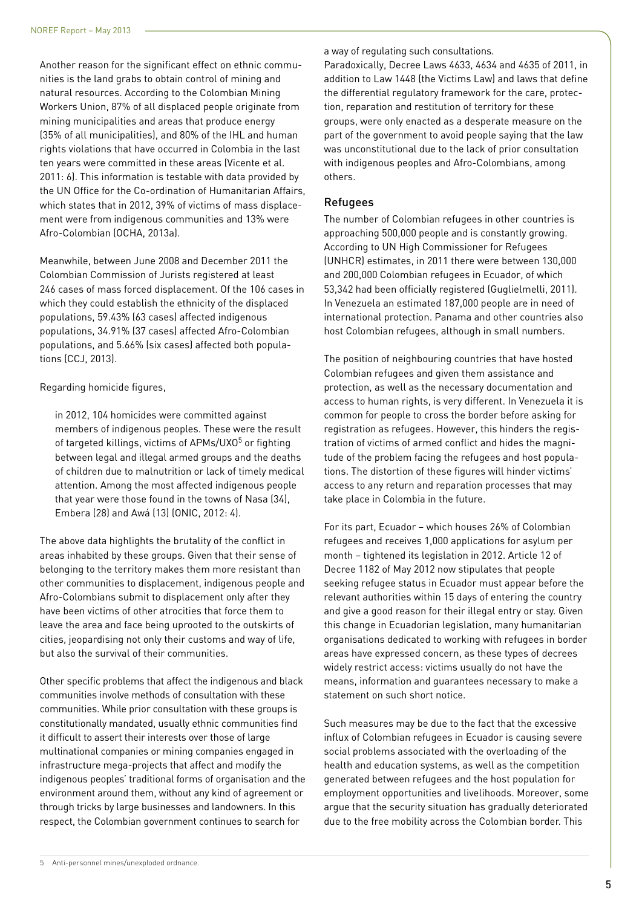Another reason for the significant effect on ethnic communities is the land grabs to obtain control of mining and natural resources. According to the Colombian Mining Workers Union, 87% of all displaced people originate from mining municipalities and areas that produce energy (35% of all municipalities), and 80% of the IHL and human rights violations that have occurred in Colombia in the last ten years were committed in these areas (Vicente et al. 2011: 6). This information is testable with data provided by the UN Office for the Co-ordination of Humanitarian Affairs, which states that in 2012, 39% of victims of mass displacement were from indigenous communities and 13% were Afro-Colombian (OCHA, 2013a).

Meanwhile, between June 2008 and December 2011 the Colombian Commission of Jurists registered at least 246 cases of mass forced displacement. Of the 106 cases in which they could establish the ethnicity of the displaced populations, 59.43% (63 cases) affected indigenous populations, 34.91% (37 cases) affected Afro-Colombian populations, and 5.66% (six cases) affected both populations (CCJ, 2013).

Regarding homicide figures,

in 2012, 104 homicides were committed against members of indigenous peoples. These were the result of targeted killings, victims of APMs/UXO<sup>5</sup> or fighting between legal and illegal armed groups and the deaths of children due to malnutrition or lack of timely medical attention. Among the most affected indigenous people that year were those found in the towns of Nasa (34), Embera (28) and Awá (13) (ONIC, 2012: 4).

The above data highlights the brutality of the conflict in areas inhabited by these groups. Given that their sense of belonging to the territory makes them more resistant than other communities to displacement, indigenous people and Afro-Colombians submit to displacement only after they have been victims of other atrocities that force them to leave the area and face being uprooted to the outskirts of cities, jeopardising not only their customs and way of life, but also the survival of their communities.

Other specific problems that affect the indigenous and black communities involve methods of consultation with these communities. While prior consultation with these groups is constitutionally mandated, usually ethnic communities find it difficult to assert their interests over those of large multinational companies or mining companies engaged in infrastructure mega-projects that affect and modify the indigenous peoples' traditional forms of organisation and the environment around them, without any kind of agreement or through tricks by large businesses and landowners. In this respect, the Colombian government continues to search for

a way of regulating such consultations.

Paradoxically, Decree Laws 4633, 4634 and 4635 of 2011, in addition to Law 1448 (the Victims Law) and laws that define the differential regulatory framework for the care, protection, reparation and restitution of territory for these groups, were only enacted as a desperate measure on the part of the government to avoid people saying that the law was unconstitutional due to the lack of prior consultation with indigenous peoples and Afro-Colombians, among others.

### Refugees

The number of Colombian refugees in other countries is approaching 500,000 people and is constantly growing. According to UN High Commissioner for Refugees (UNHCR) estimates, in 2011 there were between 130,000 and 200,000 Colombian refugees in Ecuador, of which 53,342 had been officially registered (Guglielmelli, 2011). In Venezuela an estimated 187,000 people are in need of international protection. Panama and other countries also host Colombian refugees, although in small numbers.

The position of neighbouring countries that have hosted Colombian refugees and given them assistance and protection, as well as the necessary documentation and access to human rights, is very different. In Venezuela it is common for people to cross the border before asking for registration as refugees. However, this hinders the registration of victims of armed conflict and hides the magnitude of the problem facing the refugees and host populations. The distortion of these figures will hinder victims' access to any return and reparation processes that may take place in Colombia in the future.

For its part, Ecuador – which houses 26% of Colombian refugees and receives 1,000 applications for asylum per month – tightened its legislation in 2012. Article 12 of Decree 1182 of May 2012 now stipulates that people seeking refugee status in Ecuador must appear before the relevant authorities within 15 days of entering the country and give a good reason for their illegal entry or stay. Given this change in Ecuadorian legislation, many humanitarian organisations dedicated to working with refugees in border areas have expressed concern, as these types of decrees widely restrict access: victims usually do not have the means, information and guarantees necessary to make a statement on such short notice.

Such measures may be due to the fact that the excessive influx of Colombian refugees in Ecuador is causing severe social problems associated with the overloading of the health and education systems, as well as the competition generated between refugees and the host population for employment opportunities and livelihoods. Moreover, some argue that the security situation has gradually deteriorated due to the free mobility across the Colombian border. This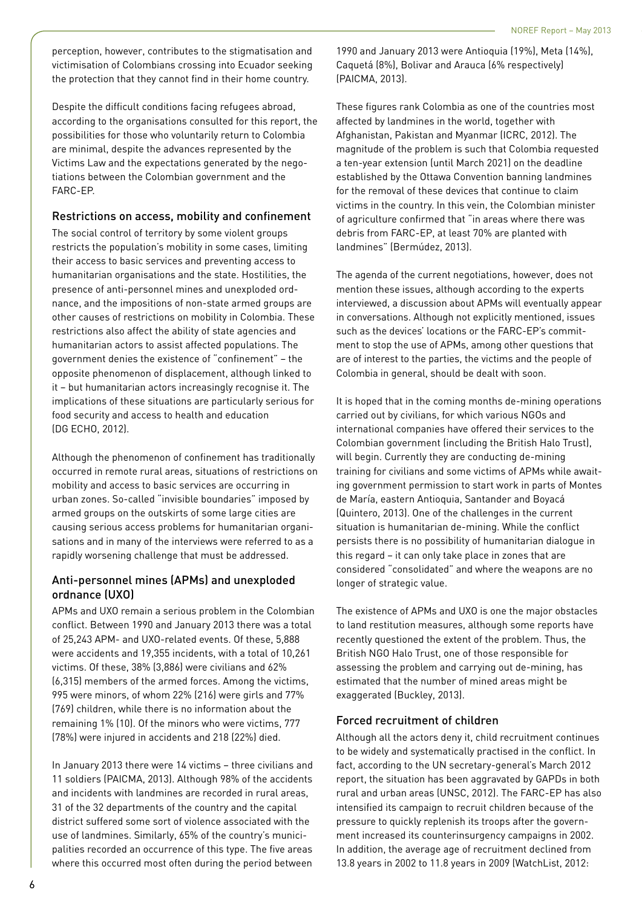perception, however, contributes to the stigmatisation and victimisation of Colombians crossing into Ecuador seeking the protection that they cannot find in their home country.

Despite the difficult conditions facing refugees abroad, according to the organisations consulted for this report, the possibilities for those who voluntarily return to Colombia are minimal, despite the advances represented by the Victims Law and the expectations generated by the negotiations between the Colombian government and the FARC-EP.

### Restrictions on access, mobility and confinement

The social control of territory by some violent groups restricts the population's mobility in some cases, limiting their access to basic services and preventing access to humanitarian organisations and the state. Hostilities, the presence of anti-personnel mines and unexploded ordnance, and the impositions of non-state armed groups are other causes of restrictions on mobility in Colombia. These restrictions also affect the ability of state agencies and humanitarian actors to assist affected populations. The government denies the existence of "confinement" – the opposite phenomenon of displacement, although linked to it – but humanitarian actors increasingly recognise it. The implications of these situations are particularly serious for food security and access to health and education (DG ECHO, 2012).

Although the phenomenon of confinement has traditionally occurred in remote rural areas, situations of restrictions on mobility and access to basic services are occurring in urban zones. So-called "invisible boundaries" imposed by armed groups on the outskirts of some large cities are causing serious access problems for humanitarian organisations and in many of the interviews were referred to as a rapidly worsening challenge that must be addressed.

## Anti-personnel mines (APMs) and unexploded ordnance (UXO)

APMs and UXO remain a serious problem in the Colombian conflict. Between 1990 and January 2013 there was a total of 25,243 APM- and UXO-related events. Of these, 5,888 were accidents and 19,355 incidents, with a total of 10,261 victims. Of these, 38% (3,886) were civilians and 62% (6,315) members of the armed forces. Among the victims, 995 were minors, of whom 22% (216) were girls and 77% (769) children, while there is no information about the remaining 1% (10). Of the minors who were victims, 777 (78%) were injured in accidents and 218 (22%) died.

In January 2013 there were 14 victims – three civilians and 11 soldiers (PAICMA, 2013). Although 98% of the accidents and incidents with landmines are recorded in rural areas, 31 of the 32 departments of the country and the capital district suffered some sort of violence associated with the use of landmines. Similarly, 65% of the country's municipalities recorded an occurrence of this type. The five areas where this occurred most often during the period between 1990 and January 2013 were Antioquia (19%), Meta (14%), Caquetá (8%), Bolivar and Arauca (6% respectively) (PAICMA, 2013).

These figures rank Colombia as one of the countries most affected by landmines in the world, together with Afghanistan, Pakistan and Myanmar (ICRC, 2012). The magnitude of the problem is such that Colombia requested a ten-year extension (until March 2021) on the deadline established by the Ottawa Convention banning landmines for the removal of these devices that continue to claim victims in the country. In this vein, the Colombian minister of agriculture confirmed that "in areas where there was debris from FARC-EP, at least 70% are planted with landmines" (Bermúdez, 2013).

The agenda of the current negotiations, however, does not mention these issues, although according to the experts interviewed, a discussion about APMs will eventually appear in conversations. Although not explicitly mentioned, issues such as the devices' locations or the FARC-EP's commitment to stop the use of APMs, among other questions that are of interest to the parties, the victims and the people of Colombia in general, should be dealt with soon.

It is hoped that in the coming months de-mining operations carried out by civilians, for which various NGOs and international companies have offered their services to the Colombian government (including the British Halo Trust), will begin. Currently they are conducting de-mining training for civilians and some victims of APMs while awaiting government permission to start work in parts of Montes de María, eastern Antioquia, Santander and Boyacá (Quintero, 2013). One of the challenges in the current situation is humanitarian de-mining. While the conflict persists there is no possibility of humanitarian dialogue in this regard – it can only take place in zones that are considered "consolidated" and where the weapons are no longer of strategic value.

The existence of APMs and UXO is one the major obstacles to land restitution measures, although some reports have recently questioned the extent of the problem. Thus, the British NGO Halo Trust, one of those responsible for assessing the problem and carrying out de-mining, has estimated that the number of mined areas might be exaggerated (Buckley, 2013).

## Forced recruitment of children

Although all the actors deny it, child recruitment continues to be widely and systematically practised in the conflict. In fact, according to the UN secretary-general's March 2012 report, the situation has been aggravated by GAPDs in both rural and urban areas (UNSC, 2012). The FARC-EP has also intensified its campaign to recruit children because of the pressure to quickly replenish its troops after the government increased its counterinsurgency campaigns in 2002. In addition, the average age of recruitment declined from 13.8 years in 2002 to 11.8 years in 2009 (WatchList, 2012: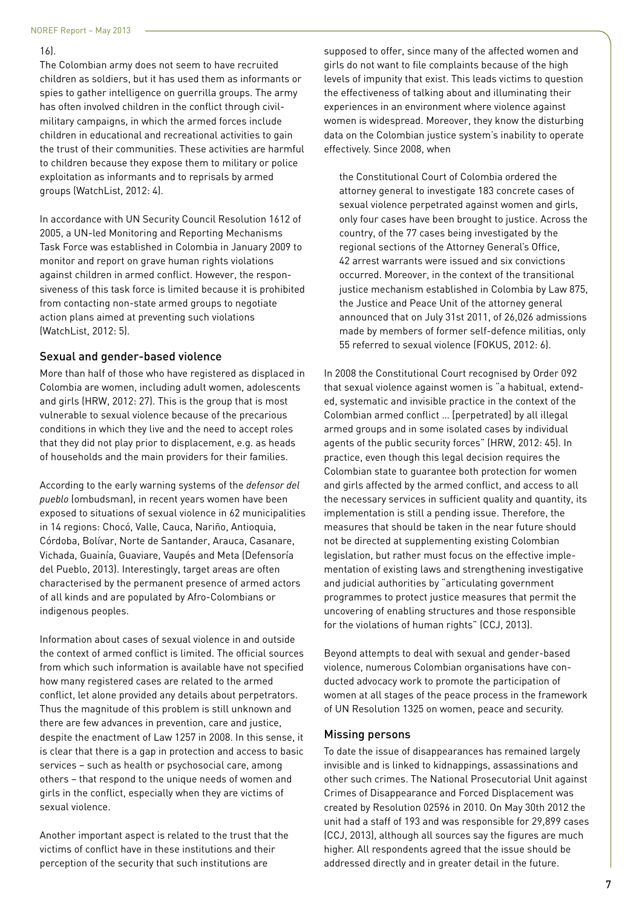#### 16).

The Colombian army does not seem to have recruited children as soldiers, but it has used them as informants or spies to gather intelligence on guerrilla groups. The army has often involved children in the conflict through civilmilitary campaigns, in which the armed forces include children in educational and recreational activities to gain the trust of their communities. These activities are harmful to children because they expose them to military or police exploitation as informants and to reprisals by armed groups (WatchList, 2012: 4).

In accordance with UN Security Council Resolution 1612 of 2005, a UN-led Monitoring and Reporting Mechanisms Task Force was established in Colombia in January 2009 to monitor and report on grave human rights violations against children in armed conflict. However, the responsiveness of this task force is limited because it is prohibited from contacting non-state armed groups to negotiate action plans aimed at preventing such violations (WatchList, 2012: 5).

#### Sexual and gender-based violence

More than half of those who have registered as displaced in Colombia are women, including adult women, adolescents and girls (HRW, 2012: 27). This is the group that is most vulnerable to sexual violence because of the precarious conditions in which they live and the need to accept roles that they did not play prior to displacement, e.g. as heads of households and the main providers for their families.

According to the early warning systems of the *defensor del pueblo* (ombudsman), in recent years women have been exposed to situations of sexual violence in 62 municipalities in 14 regions: Chocó, Valle, Cauca, Nariño, Antioquia, Córdoba, Bolívar, Norte de Santander, Arauca, Casanare, Vichada, Guainía, Guaviare, Vaupés and Meta (Defensoría del Pueblo, 2013). Interestingly, target areas are often characterised by the permanent presence of armed actors of all kinds and are populated by Afro-Colombians or indigenous peoples.

Information about cases of sexual violence in and outside the context of armed conflict is limited. The official sources from which such information is available have not specified how many registered cases are related to the armed conflict, let alone provided any details about perpetrators. Thus the magnitude of this problem is still unknown and there are few advances in prevention, care and justice, despite the enactment of Law 1257 in 2008. In this sense, it is clear that there is a gap in protection and access to basic services – such as health or psychosocial care, among others – that respond to the unique needs of women and girls in the conflict, especially when they are victims of sexual violence.

Another important aspect is related to the trust that the victims of conflict have in these institutions and their perception of the security that such institutions are

supposed to offer, since many of the affected women and girls do not want to file complaints because of the high levels of impunity that exist. This leads victims to question the effectiveness of talking about and illuminating their experiences in an environment where violence against women is widespread. Moreover, they know the disturbing data on the Colombian justice system's inability to operate effectively. Since 2008, when

the Constitutional Court of Colombia ordered the attorney general to investigate 183 concrete cases of sexual violence perpetrated against women and girls, only four cases have been brought to justice. Across the country, of the 77 cases being investigated by the regional sections of the Attorney General's Office, 42 arrest warrants were issued and six convictions occurred. Moreover, in the context of the transitional justice mechanism established in Colombia by Law 875, the Justice and Peace Unit of the attorney general announced that on July 31st 2011, of 26,026 admissions made by members of former self-defence militias, only 55 referred to sexual violence (FOKUS, 2012: 6).

In 2008 the Constitutional Court recognised by Order 092 that sexual violence against women is "a habitual, extended, systematic and invisible practice in the context of the Colombian armed conflict … [perpetrated] by all illegal armed groups and in some isolated cases by individual agents of the public security forces" (HRW, 2012: 45). In practice, even though this legal decision requires the Colombian state to guarantee both protection for women and girls affected by the armed conflict, and access to all the necessary services in sufficient quality and quantity, its implementation is still a pending issue. Therefore, the measures that should be taken in the near future should not be directed at supplementing existing Colombian legislation, but rather must focus on the effective implementation of existing laws and strengthening investigative and judicial authorities by "articulating government programmes to protect justice measures that permit the uncovering of enabling structures and those responsible for the violations of human rights" (CCJ, 2013).

Beyond attempts to deal with sexual and gender-based violence, numerous Colombian organisations have conducted advocacy work to promote the participation of women at all stages of the peace process in the framework of UN Resolution 1325 on women, peace and security.

#### Missing persons

To date the issue of disappearances has remained largely invisible and is linked to kidnappings, assassinations and other such crimes. The National Prosecutorial Unit against Crimes of Disappearance and Forced Displacement was created by Resolution 02596 in 2010. On May 30th 2012 the unit had a staff of 193 and was responsible for 29,899 cases (CCJ, 2013), although all sources say the figures are much higher. All respondents agreed that the issue should be addressed directly and in greater detail in the future.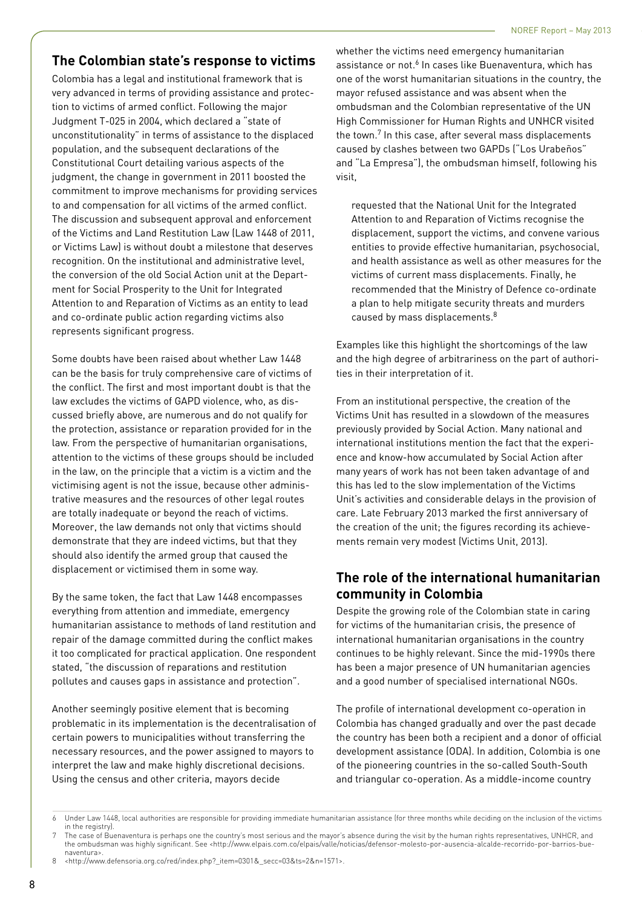# **The Colombian state's response to victims**

Colombia has a legal and institutional framework that is very advanced in terms of providing assistance and protection to victims of armed conflict. Following the major Judgment T-025 in 2004, which declared a "state of unconstitutionality" in terms of assistance to the displaced population, and the subsequent declarations of the Constitutional Court detailing various aspects of the judgment, the change in government in 2011 boosted the commitment to improve mechanisms for providing services to and compensation for all victims of the armed conflict. The discussion and subsequent approval and enforcement of the Victims and Land Restitution Law (Law 1448 of 2011, or Victims Law) is without doubt a milestone that deserves recognition. On the institutional and administrative level, the conversion of the old Social Action unit at the Department for Social Prosperity to the Unit for Integrated Attention to and Reparation of Victims as an entity to lead and co-ordinate public action regarding victims also represents significant progress.

Some doubts have been raised about whether Law 1448 can be the basis for truly comprehensive care of victims of the conflict. The first and most important doubt is that the law excludes the victims of GAPD violence, who, as discussed briefly above, are numerous and do not qualify for the protection, assistance or reparation provided for in the law. From the perspective of humanitarian organisations, attention to the victims of these groups should be included in the law, on the principle that a victim is a victim and the victimising agent is not the issue, because other administrative measures and the resources of other legal routes are totally inadequate or beyond the reach of victims. Moreover, the law demands not only that victims should demonstrate that they are indeed victims, but that they should also identify the armed group that caused the displacement or victimised them in some way.

By the same token, the fact that Law 1448 encompasses everything from attention and immediate, emergency humanitarian assistance to methods of land restitution and repair of the damage committed during the conflict makes it too complicated for practical application. One respondent stated, "the discussion of reparations and restitution pollutes and causes gaps in assistance and protection".

Another seemingly positive element that is becoming problematic in its implementation is the decentralisation of certain powers to municipalities without transferring the necessary resources, and the power assigned to mayors to interpret the law and make highly discretional decisions. Using the census and other criteria, mayors decide

whether the victims need emergency humanitarian assistance or not.<sup>6</sup> In cases like Buenaventura, which has one of the worst humanitarian situations in the country, the mayor refused assistance and was absent when the ombudsman and the Colombian representative of the UN High Commissioner for Human Rights and UNHCR visited the town.<sup>7</sup> In this case, after several mass displacements caused by clashes between two GAPDs ("Los Urabeños" and "La Empresa"), the ombudsman himself, following his visit,

requested that the National Unit for the Integrated Attention to and Reparation of Victims recognise the displacement, support the victims, and convene various entities to provide effective humanitarian, psychosocial, and health assistance as well as other measures for the victims of current mass displacements. Finally, he recommended that the Ministry of Defence co-ordinate a plan to help mitigate security threats and murders caused by mass displacements.<sup>8</sup>

Examples like this highlight the shortcomings of the law and the high degree of arbitrariness on the part of authorities in their interpretation of it.

From an institutional perspective, the creation of the Victims Unit has resulted in a slowdown of the measures previously provided by Social Action. Many national and international institutions mention the fact that the experience and know-how accumulated by Social Action after many years of work has not been taken advantage of and this has led to the slow implementation of the Victims Unit's activities and considerable delays in the provision of care. Late February 2013 marked the first anniversary of the creation of the unit; the figures recording its achievements remain very modest (Victims Unit, 2013).

# **The role of the international humanitarian community in Colombia**

Despite the growing role of the Colombian state in caring for victims of the humanitarian crisis, the presence of international humanitarian organisations in the country continues to be highly relevant. Since the mid-1990s there has been a major presence of UN humanitarian agencies and a good number of specialised international NGOs.

The profile of international development co-operation in Colombia has changed gradually and over the past decade the country has been both a recipient and a donor of official development assistance (ODA). In addition, Colombia is one of the pioneering countries in the so-called South-South and triangular co-operation. As a middle-income country

<sup>6</sup> Under Law 1448, local authorities are responsible for providing immediate humanitarian assistance (for three months while deciding on the inclusion of the victims in the registry).

<sup>7</sup> The case of Buenaventura is perhaps one the country's most serious and the mayor's absence during the visit by the human rights representatives, UNHCR, and the ombudsman was highly significant. See <http://www.elpais.com.co/elpais/valle/noticias/defensor-molesto-por-ausencia-alcalde-recorrido-por-barrios-buenaventura>.

<sup>8</sup> <http://www.defensoria.org.co/red/index.php?\_item=0301&\_secc=03&ts=2&n=1571>.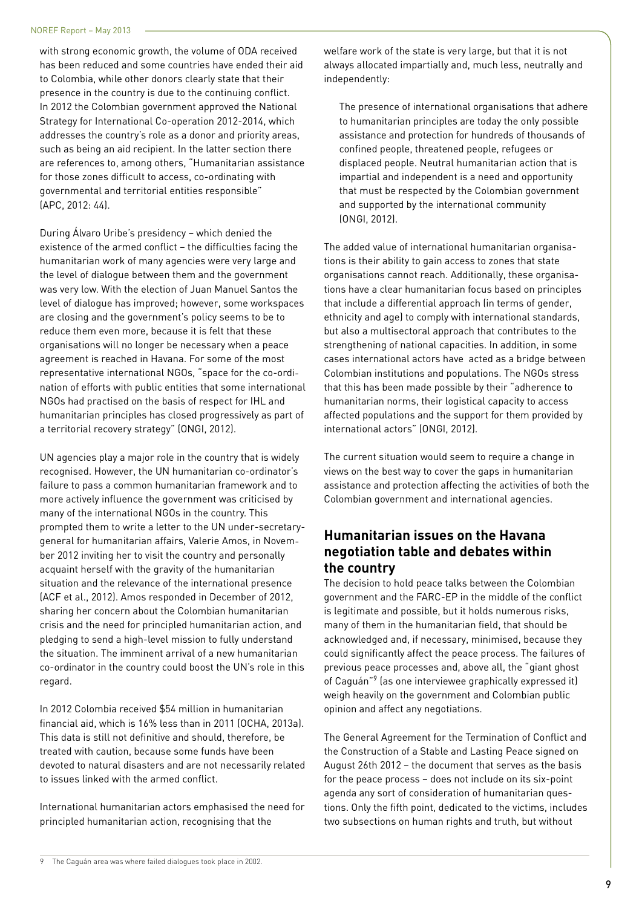with strong economic growth, the volume of ODA received has been reduced and some countries have ended their aid to Colombia, while other donors clearly state that their presence in the country is due to the continuing conflict. In 2012 the Colombian government approved the National Strategy for International Co-operation 2012-2014, which addresses the country's role as a donor and priority areas, such as being an aid recipient. In the latter section there are references to, among others, "Humanitarian assistance for those zones difficult to access, co-ordinating with governmental and territorial entities responsible" (APC, 2012: 44).

During Álvaro Uribe's presidency – which denied the existence of the armed conflict – the difficulties facing the humanitarian work of many agencies were very large and the level of dialogue between them and the government was very low. With the election of Juan Manuel Santos the level of dialogue has improved; however, some workspaces are closing and the government's policy seems to be to reduce them even more, because it is felt that these organisations will no longer be necessary when a peace agreement is reached in Havana. For some of the most representative international NGOs, "space for the co-ordination of efforts with public entities that some international NGOs had practised on the basis of respect for IHL and humanitarian principles has closed progressively as part of a territorial recovery strategy" (ONGI, 2012).

UN agencies play a major role in the country that is widely recognised. However, the UN humanitarian co-ordinator's failure to pass a common humanitarian framework and to more actively influence the government was criticised by many of the international NGOs in the country. This prompted them to write a letter to the UN under-secretarygeneral for humanitarian affairs, Valerie Amos, in November 2012 inviting her to visit the country and personally acquaint herself with the gravity of the humanitarian situation and the relevance of the international presence (ACF et al., 2012). Amos responded in December of 2012, sharing her concern about the Colombian humanitarian crisis and the need for principled humanitarian action, and pledging to send a high-level mission to fully understand the situation. The imminent arrival of a new humanitarian co-ordinator in the country could boost the UN's role in this regard.

In 2012 Colombia received \$54 million in humanitarian financial aid, which is 16% less than in 2011 (OCHA, 2013a). This data is still not definitive and should, therefore, be treated with caution, because some funds have been devoted to natural disasters and are not necessarily related to issues linked with the armed conflict.

International humanitarian actors emphasised the need for principled humanitarian action, recognising that the

welfare work of the state is very large, but that it is not always allocated impartially and, much less, neutrally and independently:

The presence of international organisations that adhere to humanitarian principles are today the only possible assistance and protection for hundreds of thousands of confined people, threatened people, refugees or displaced people. Neutral humanitarian action that is impartial and independent is a need and opportunity that must be respected by the Colombian government and supported by the international community (ONGI, 2012).

The added value of international humanitarian organisations is their ability to gain access to zones that state organisations cannot reach. Additionally, these organisations have a clear humanitarian focus based on principles that include a differential approach (in terms of gender, ethnicity and age) to comply with international standards, but also a multisectoral approach that contributes to the strengthening of national capacities. In addition, in some cases international actors have acted as a bridge between Colombian institutions and populations. The NGOs stress that this has been made possible by their "adherence to humanitarian norms, their logistical capacity to access affected populations and the support for them provided by international actors" (ONGI, 2012).

The current situation would seem to require a change in views on the best way to cover the gaps in humanitarian assistance and protection affecting the activities of both the Colombian government and international agencies.

# **Humanitarian issues on the Havana negotiation table and debates within the country**

The decision to hold peace talks between the Colombian government and the FARC-EP in the middle of the conflict is legitimate and possible, but it holds numerous risks, many of them in the humanitarian field, that should be acknowledged and, if necessary, minimised, because they could significantly affect the peace process. The failures of previous peace processes and, above all, the "giant ghost of Caguán"9 (as one interviewee graphically expressed it) weigh heavily on the government and Colombian public opinion and affect any negotiations.

The General Agreement for the Termination of Conflict and the Construction of a Stable and Lasting Peace signed on August 26th 2012 – the document that serves as the basis for the peace process – does not include on its six-point agenda any sort of consideration of humanitarian questions. Only the fifth point, dedicated to the victims, includes two subsections on human rights and truth, but without

<sup>9</sup> The Caguán area was where failed dialogues took place in 2002.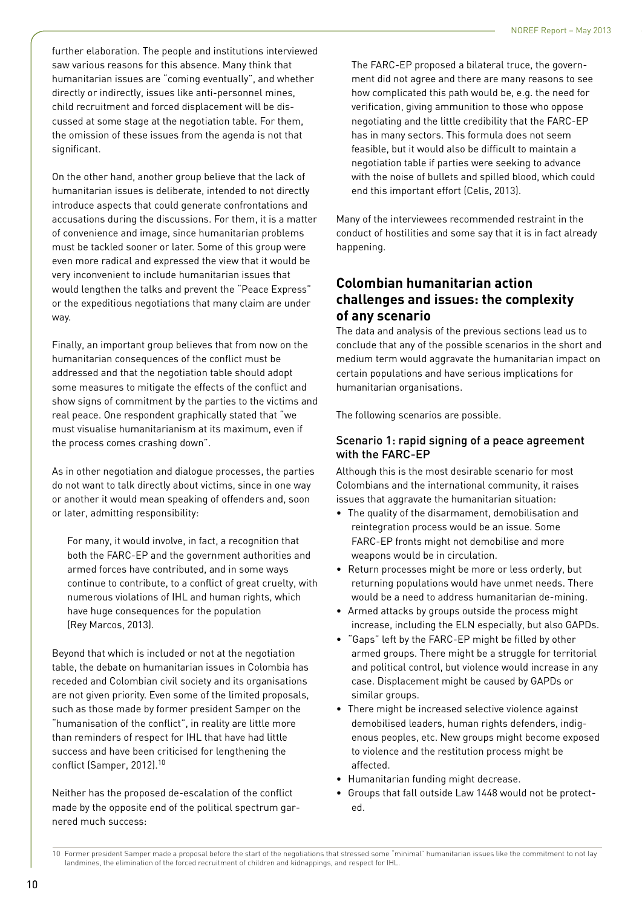further elaboration. The people and institutions interviewed saw various reasons for this absence. Many think that humanitarian issues are "coming eventually", and whether directly or indirectly, issues like anti-personnel mines, child recruitment and forced displacement will be discussed at some stage at the negotiation table. For them, the omission of these issues from the agenda is not that significant.

On the other hand, another group believe that the lack of humanitarian issues is deliberate, intended to not directly introduce aspects that could generate confrontations and accusations during the discussions. For them, it is a matter of convenience and image, since humanitarian problems must be tackled sooner or later. Some of this group were even more radical and expressed the view that it would be very inconvenient to include humanitarian issues that would lengthen the talks and prevent the "Peace Express" or the expeditious negotiations that many claim are under way.

Finally, an important group believes that from now on the humanitarian consequences of the conflict must be addressed and that the negotiation table should adopt some measures to mitigate the effects of the conflict and show signs of commitment by the parties to the victims and real peace. One respondent graphically stated that "we must visualise humanitarianism at its maximum, even if the process comes crashing down".

As in other negotiation and dialogue processes, the parties do not want to talk directly about victims, since in one way or another it would mean speaking of offenders and, soon or later, admitting responsibility:

For many, it would involve, in fact, a recognition that both the FARC-EP and the government authorities and armed forces have contributed, and in some ways continue to contribute, to a conflict of great cruelty, with numerous violations of IHL and human rights, which have huge consequences for the population (Rey Marcos, 2013).

Beyond that which is included or not at the negotiation table, the debate on humanitarian issues in Colombia has receded and Colombian civil society and its organisations are not given priority. Even some of the limited proposals, such as those made by former president Samper on the "humanisation of the conflict", in reality are little more than reminders of respect for IHL that have had little success and have been criticised for lengthening the conflict (Samper, 2012).<sup>10</sup>

Neither has the proposed de-escalation of the conflict made by the opposite end of the political spectrum garnered much success:

The FARC-EP proposed a bilateral truce, the government did not agree and there are many reasons to see how complicated this path would be, e.g. the need for verification, giving ammunition to those who oppose negotiating and the little credibility that the FARC-EP has in many sectors. This formula does not seem feasible, but it would also be difficult to maintain a negotiation table if parties were seeking to advance with the noise of bullets and spilled blood, which could end this important effort (Celis, 2013).

Many of the interviewees recommended restraint in the conduct of hostilities and some say that it is in fact already happening.

# **Colombian humanitarian action challenges and issues: the complexity of any scenario**

The data and analysis of the previous sections lead us to conclude that any of the possible scenarios in the short and medium term would aggravate the humanitarian impact on certain populations and have serious implications for humanitarian organisations.

The following scenarios are possible.

# Scenario 1: rapid signing of a peace agreement with the FARC-EP

Although this is the most desirable scenario for most Colombians and the international community, it raises issues that aggravate the humanitarian situation:

- The quality of the disarmament, demobilisation and reintegration process would be an issue. Some FARC-EP fronts might not demobilise and more weapons would be in circulation.
- Return processes might be more or less orderly, but returning populations would have unmet needs. There would be a need to address humanitarian de-mining.
- Armed attacks by groups outside the process might increase, including the ELN especially, but also GAPDs.
- "Gaps" left by the FARC-EP might be filled by other armed groups. There might be a struggle for territorial and political control, but violence would increase in any case. Displacement might be caused by GAPDs or similar groups.
- There might be increased selective violence against demobilised leaders, human rights defenders, indigenous peoples, etc. New groups might become exposed to violence and the restitution process might be affected.
- Humanitarian funding might decrease.
- Groups that fall outside Law 1448 would not be protected.

<sup>10</sup> Former president Samper made a proposal before the start of the negotiations that stressed some "minimal" humanitarian issues like the commitment to not lay landmines, the elimination of the forced recruitment of children and kidnappings, and respect for IHL.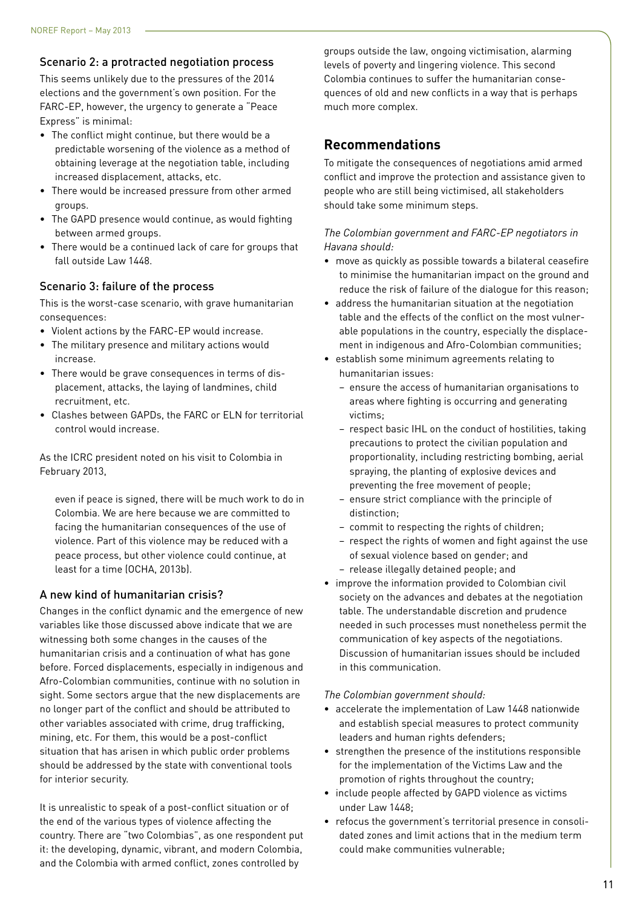## Scenario 2: a protracted negotiation process

This seems unlikely due to the pressures of the 2014 elections and the government's own position. For the FARC-EP, however, the urgency to generate a "Peace Express" is minimal:

- The conflict might continue, but there would be a predictable worsening of the violence as a method of obtaining leverage at the negotiation table, including increased displacement, attacks, etc.
- There would be increased pressure from other armed groups.
- The GAPD presence would continue, as would fighting between armed groups.
- There would be a continued lack of care for groups that fall outside Law 1448.

#### Scenario 3: failure of the process

This is the worst-case scenario, with grave humanitarian consequences:

- Violent actions by the FARC-EP would increase.
- The military presence and military actions would increase.
- There would be grave consequences in terms of displacement, attacks, the laying of landmines, child recruitment, etc.
- Clashes between GAPDs, the FARC or ELN for territorial control would increase.

As the ICRC president noted on his visit to Colombia in February 2013,

even if peace is signed, there will be much work to do in Colombia. We are here because we are committed to facing the humanitarian consequences of the use of violence. Part of this violence may be reduced with a peace process, but other violence could continue, at least for a time (OCHA, 2013b).

## A new kind of humanitarian crisis?

Changes in the conflict dynamic and the emergence of new variables like those discussed above indicate that we are witnessing both some changes in the causes of the humanitarian crisis and a continuation of what has gone before. Forced displacements, especially in indigenous and Afro-Colombian communities, continue with no solution in sight. Some sectors argue that the new displacements are no longer part of the conflict and should be attributed to other variables associated with crime, drug trafficking, mining, etc. For them, this would be a post-conflict situation that has arisen in which public order problems should be addressed by the state with conventional tools for interior security.

It is unrealistic to speak of a post-conflict situation or of the end of the various types of violence affecting the country. There are "two Colombias", as one respondent put it: the developing, dynamic, vibrant, and modern Colombia, and the Colombia with armed conflict, zones controlled by

groups outside the law, ongoing victimisation, alarming levels of poverty and lingering violence. This second Colombia continues to suffer the humanitarian consequences of old and new conflicts in a way that is perhaps much more complex.

# **Recommendations**

To mitigate the consequences of negotiations amid armed conflict and improve the protection and assistance given to people who are still being victimised, all stakeholders should take some minimum steps.

#### *The Colombian government and FARC-EP negotiators in Havana should:*

- move as quickly as possible towards a bilateral ceasefire to minimise the humanitarian impact on the ground and reduce the risk of failure of the dialogue for this reason;
- address the humanitarian situation at the negotiation table and the effects of the conflict on the most vulnerable populations in the country, especially the displacement in indigenous and Afro-Colombian communities;
- establish some minimum agreements relating to humanitarian issues:
	- ensure the access of humanitarian organisations to areas where fighting is occurring and generating victims;
	- respect basic IHL on the conduct of hostilities, taking precautions to protect the civilian population and proportionality, including restricting bombing, aerial spraying, the planting of explosive devices and preventing the free movement of people;
	- ensure strict compliance with the principle of distinction;
	- commit to respecting the rights of children;
	- respect the rights of women and fight against the use of sexual violence based on gender; and – release illegally detained people; and
- improve the information provided to Colombian civil society on the advances and debates at the negotiation table. The understandable discretion and prudence needed in such processes must nonetheless permit the communication of key aspects of the negotiations. Discussion of humanitarian issues should be included in this communication.

#### *The Colombian government should:*

- accelerate the implementation of Law 1448 nationwide and establish special measures to protect community leaders and human rights defenders;
- strengthen the presence of the institutions responsible for the implementation of the Victims Law and the promotion of rights throughout the country;
- include people affected by GAPD violence as victims under Law 1448;
- refocus the government's territorial presence in consolidated zones and limit actions that in the medium term could make communities vulnerable;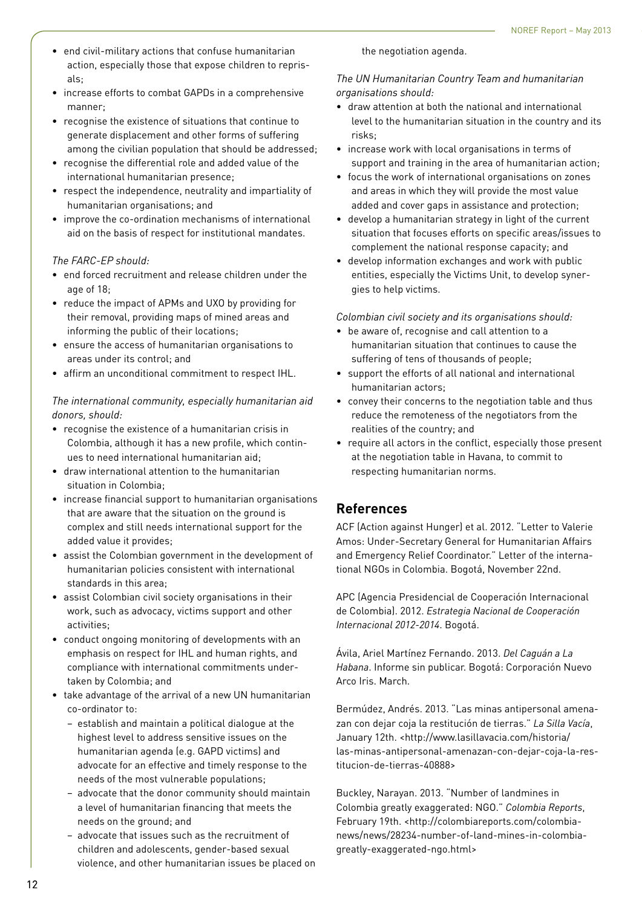- end civil-military actions that confuse humanitarian action, especially those that expose children to reprisals;
- increase efforts to combat GAPDs in a comprehensive manner;
- recognise the existence of situations that continue to generate displacement and other forms of suffering among the civilian population that should be addressed;
- recognise the differential role and added value of the international humanitarian presence;
- respect the independence, neutrality and impartiality of humanitarian organisations; and
- improve the co-ordination mechanisms of international aid on the basis of respect for institutional mandates.

#### *The FARC-EP should:*

- end forced recruitment and release children under the age of 18;
- reduce the impact of APMs and UXO by providing for their removal, providing maps of mined areas and informing the public of their locations;
- ensure the access of humanitarian organisations to areas under its control; and
- affirm an unconditional commitment to respect IHL.

### *The international community, especially humanitarian aid donors, should:*

- recognise the existence of a humanitarian crisis in Colombia, although it has a new profile, which continues to need international humanitarian aid;
- draw international attention to the humanitarian situation in Colombia;
- increase financial support to humanitarian organisations that are aware that the situation on the ground is complex and still needs international support for the added value it provides;
- assist the Colombian government in the development of humanitarian policies consistent with international standards in this area;
- assist Colombian civil society organisations in their work, such as advocacy, victims support and other activities;
- conduct ongoing monitoring of developments with an emphasis on respect for IHL and human rights, and compliance with international commitments undertaken by Colombia; and
- take advantage of the arrival of a new UN humanitarian co-ordinator to:
	- establish and maintain a political dialogue at the highest level to address sensitive issues on the humanitarian agenda (e.g. GAPD victims) and advocate for an effective and timely response to the needs of the most vulnerable populations;
	- advocate that the donor community should maintain a level of humanitarian financing that meets the needs on the ground; and
	- advocate that issues such as the recruitment of children and adolescents, gender-based sexual violence, and other humanitarian issues be placed on

the negotiation agenda.

*The UN Humanitarian Country Team and humanitarian organisations should:*

- draw attention at both the national and international level to the humanitarian situation in the country and its risks;
- increase work with local organisations in terms of support and training in the area of humanitarian action;
- focus the work of international organisations on zones and areas in which they will provide the most value added and cover gaps in assistance and protection;
- develop a humanitarian strategy in light of the current situation that focuses efforts on specific areas/issues to complement the national response capacity; and
- develop information exchanges and work with public entities, especially the Victims Unit, to develop synergies to help victims.

*Colombian civil society and its organisations should:*

- be aware of, recognise and call attention to a humanitarian situation that continues to cause the suffering of tens of thousands of people;
- support the efforts of all national and international humanitarian actors;
- convey their concerns to the negotiation table and thus reduce the remoteness of the negotiators from the realities of the country; and
- require all actors in the conflict, especially those present at the negotiation table in Havana, to commit to respecting humanitarian norms.

# **References**

ACF (Action against Hunger) et al. 2012. "Letter to Valerie Amos: Under-Secretary General for Humanitarian Affairs and Emergency Relief Coordinator." Letter of the international NGOs in Colombia. Bogotá, November 22nd.

APC (Agencia Presidencial de Cooperación Internacional de Colombia). 2012. *Estrategia Nacional de Cooperación Internacional 2012-2014*. Bogotá.

Ávila, Ariel Martínez Fernando. 2013. *Del Caguán a La Habana*. Informe sin publicar. Bogotá: Corporación Nuevo Arco Iris. March.

Bermúdez, Andrés. 2013. "Las minas antipersonal amenazan con dejar coja la restitución de tierras." *La Silla Vacía*, January 12th. <http://www.lasillavacia.com/historia/ las-minas-antipersonal-amenazan-con-dejar-coja-la-restitucion-de-tierras-40888>

Buckley, Narayan. 2013. "Number of landmines in Colombia greatly exaggerated: NGO." *Colombia Reports*, February 19th. <http://colombiareports.com/colombianews/news/28234-number-of-land-mines-in-colombiagreatly-exaggerated-ngo.html>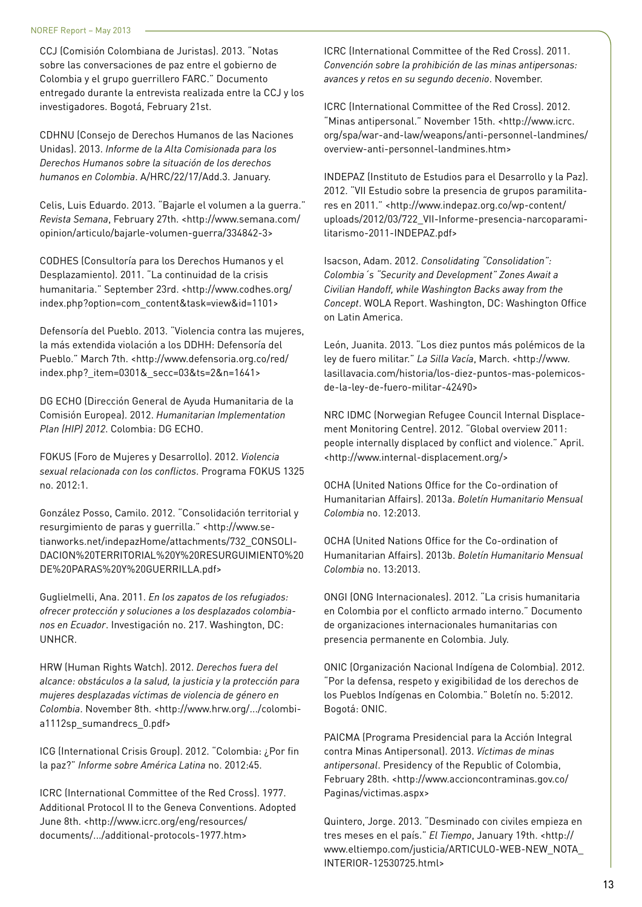CCJ (Comisión Colombiana de Juristas). 2013. "Notas sobre las conversaciones de paz entre el gobierno de Colombia y el grupo guerrillero FARC." Documento entregado durante la entrevista realizada entre la CCJ y los investigadores. Bogotá, February 21st.

CDHNU (Consejo de Derechos Humanos de las Naciones Unidas). 2013. *Informe de la Alta Comisionada para los Derechos Humanos sobre la situación de los derechos humanos en Colombia*. A/HRC/22/17/Add.3. January.

Celis, Luis Eduardo. 2013. "Bajarle el volumen a la guerra." *Revista Semana*, February 27th. <http://www.semana.com/ opinion/articulo/bajarle-volumen-guerra/334842-3>

CODHES (Consultoría para los Derechos Humanos y el Desplazamiento). 2011. "La continuidad de la crisis humanitaria." September 23rd. <http://www.codhes.org/ index.php?option=com\_content&task=view&id=1101>

Defensoría del Pueblo. 2013. "Violencia contra las mujeres, la más extendida violación a los DDHH: Defensoría del Pueblo." March 7th. <http://www.defensoria.org.co/red/ index.php? item=0301& secc=03&ts=2&n=1641>

DG ECHO (Dirección General de Ayuda Humanitaria de la Comisión Europea). 2012. *Humanitarian Implementation Plan (HIP) 2012*. Colombia: DG ECHO.

FOKUS (Foro de Mujeres y Desarrollo). 2012. *Violencia sexual relacionada con los conflictos*. Programa FOKUS 1325 no. 2012:1.

González Posso, Camilo. 2012. "Consolidación territorial y resurgimiento de paras y guerrilla." <http://www.setianworks.net/indepazHome/attachments/732\_CONSOLI-DACION%20TERRITORIAL%20Y%20RESURGUIMIENTO%20 DE%20PARAS%20Y%20GUERRILLA.pdf>

Guglielmelli, Ana. 2011. *En los zapatos de los refugiados: ofrecer protección y soluciones a los desplazados colombianos en Ecuador*. Investigación no. 217. Washington, DC: UNHCR.

HRW (Human Rights Watch). 2012. *Derechos fuera del alcance: obstáculos a la salud, la justicia y la protección para mujeres desplazadas víctimas de violencia de género en Colombia*. November 8th. <http://www.hrw.org/.../colombia1112sp\_sumandrecs\_0.pdf>

ICG (International Crisis Group). 2012. "Colombia: ¿Por fin la paz?" *Informe sobre América Latina* no. 2012:45.

ICRC (International Committee of the Red Cross). 1977. Additional Protocol II to the Geneva Conventions. Adopted June 8th. <http://www.icrc.org/eng/resources/ documents/.../additional-protocols-1977.htm>

ICRC (International Committee of the Red Cross). 2011. *Convención sobre la prohibición de las minas antipersonas: avances y retos en su segundo decenio*. November.

ICRC (International Committee of the Red Cross). 2012. "Minas antipersonal." November 15th. <http://www.icrc. org/spa/war-and-law/weapons/anti-personnel-landmines/ overview-anti-personnel-landmines.htm>

INDEPAZ (Instituto de Estudios para el Desarrollo y la Paz). 2012. "VII Estudio sobre la presencia de grupos paramilitares en 2011." <http://www.indepaz.org.co/wp-content/ uploads/2012/03/722\_VII-Informe-presencia-narcoparamilitarismo-2011-INDEPAZ.pdf>

Isacson, Adam. 2012. *Consolidating "Consolidation": Colombia´s "Security and Development" Zones Await a Civilian Handoff, while Washington Backs away from the Concept*. WOLA Report. Washington, DC: Washington Office on Latin America.

León, Juanita. 2013. "Los diez puntos más polémicos de la ley de fuero militar." *La Silla Vacía*, March. <http://www. lasillavacia.com/historia/los-diez-puntos-mas-polemicosde-la-ley-de-fuero-militar-42490>

NRC IDMC (Norwegian Refugee Council Internal Displacement Monitoring Centre). 2012. "Global overview 2011: people internally displaced by conflict and violence." April. <http://www.internal-displacement.org/>

OCHA (United Nations Office for the Co-ordination of Humanitarian Affairs). 2013a. *Boletín Humanitario Mensual Colombia* no. 12:2013.

OCHA (United Nations Office for the Co-ordination of Humanitarian Affairs). 2013b. *Boletín Humanitario Mensual Colombia* no. 13:2013.

ONGI (ONG Internacionales). 2012. "La crisis humanitaria en Colombia por el conflicto armado interno." Documento de organizaciones internacionales humanitarias con presencia permanente en Colombia. July.

ONIC (Organización Nacional Indígena de Colombia). 2012. "Por la defensa, respeto y exigibilidad de los derechos de los Pueblos Indígenas en Colombia." Boletín no. 5:2012. Bogotá: ONIC.

PAICMA (Programa Presidencial para la Acción Integral contra Minas Antipersonal). 2013. *Víctimas de minas antipersonal*. Presidency of the Republic of Colombia, February 28th. <http://www.accioncontraminas.gov.co/ Paginas/victimas.aspx>

Quintero, Jorge. 2013. "Desminado con civiles empieza en tres meses en el país." *El Tiempo*, January 19th. <http:// www.eltiempo.com/justicia/ARTICULO-WEB-NEW\_NOTA\_ INTERIOR-12530725.html>